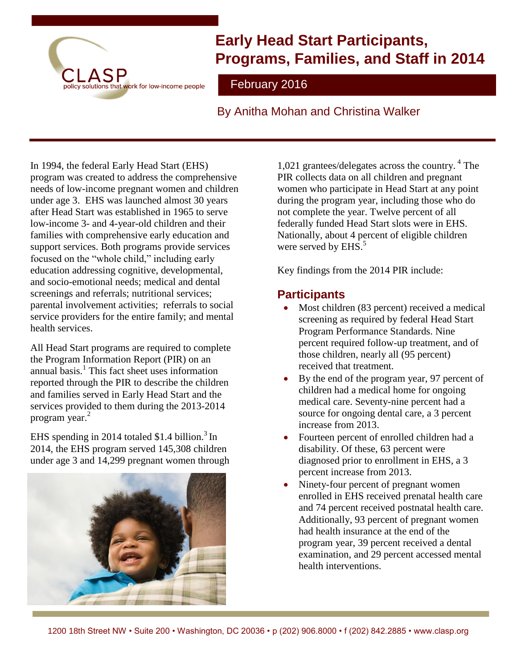

# **Early Head Start Participants, Programs, Families, and Staff in 2014**

February 2016

By Anitha Mohan and Christina Walker

In 1994, the federal Early Head Start (EHS) program was created to address the comprehensive needs of low-income pregnant women and children under age 3. EHS was launched almost 30 years after Head Start was established in 1965 to serve low-income 3- and 4-year-old children and their families with comprehensive early education and support services. Both programs provide services focused on the "whole child," including early education addressing cognitive, developmental, and socio-emotional needs; medical and dental screenings and referrals; nutritional services; parental involvement activities; referrals to social service providers for the entire family; and mental health services.

All Head Start programs are required to complete the Program Information Report (PIR) on an annual basis.<sup>1</sup> This fact sheet uses information reported through the PIR to describe the children and families served in Early Head Start and the services provided to them during the 2013-2014 program year. 2

EHS spending in 2014 totaled \$1.4 billion.<sup>3</sup> In 2014, the EHS program served 145,308 children under age 3 and 14,299 pregnant women through



1,021 grantees/delegates across the country. <sup>4</sup> The PIR collects data on all children and pregnant women who participate in Head Start at any point during the program year, including those who do not complete the year. Twelve percent of all federally funded Head Start slots were in EHS. Nationally, about 4 percent of eligible children were served by EHS.<sup>5</sup>

Key findings from the 2014 PIR include:

# **Participants**

- Most children (83 percent) received a medical screening as required by federal Head Start Program Performance Standards. Nine percent required follow-up treatment, and of those children, nearly all (95 percent) received that treatment.
- By the end of the program year, 97 percent of children had a medical home for ongoing medical care. Seventy-nine percent had a source for ongoing dental care, a 3 percent increase from 2013.
- Fourteen percent of enrolled children had a disability. Of these, 63 percent were diagnosed prior to enrollment in EHS, a 3 percent increase from 2013.
- Ninety-four percent of pregnant women enrolled in EHS received prenatal health care and 74 percent received postnatal health care. Additionally, 93 percent of pregnant women had health insurance at the end of the program year, 39 percent received a dental examination, and 29 percent accessed mental health interventions.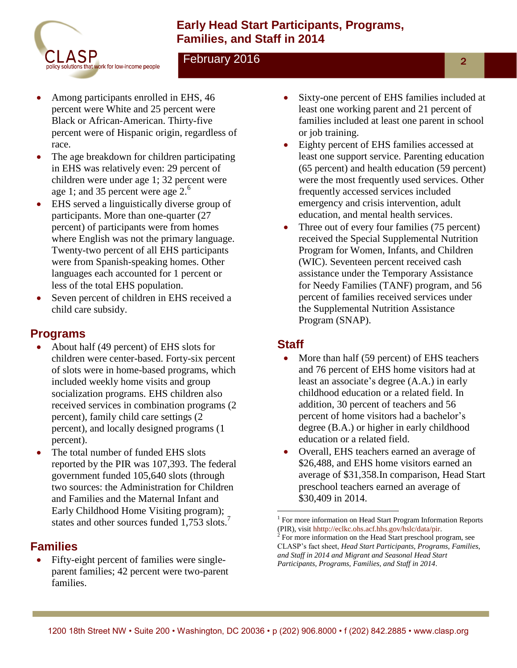

## **Early Head Start Participants, Programs, Families, and Staff in 2014**

### February 2016

- Among participants enrolled in EHS, 46 percent were White and 25 percent were Black or African-American. Thirty-five percent were of Hispanic origin, regardless of race.
- The age breakdown for children participating in EHS was relatively even: 29 percent of children were under age 1; 32 percent were age 1; and 35 percent were age  $2<sup>6</sup>$
- EHS served a linguistically diverse group of participants. More than one-quarter (27 percent) of participants were from homes where English was not the primary language. Twenty-two percent of all EHS participants were from Spanish-speaking homes. Other languages each accounted for 1 percent or less of the total EHS population.
- Seven percent of children in EHS received a child care subsidy.

#### **Programs**

- About half (49 percent) of EHS slots for children were center-based. Forty-six percent of slots were in home-based programs, which included weekly home visits and group socialization programs. EHS children also received services in combination programs (2 percent), family child care settings (2 percent), and locally designed programs (1 percent).
- The total number of funded EHS slots reported by the PIR was 107,393. The federal government funded 105,640 slots (through two sources: the Administration for Children and Families and the Maternal Infant and Early Childhood Home Visiting program); states and other sources funded 1,753 slots.<sup>7</sup>

#### **Families**

 Fifty-eight percent of families were singleparent families; 42 percent were two-parent families.

- Sixty-one percent of EHS families included at least one working parent and 21 percent of families included at least one parent in school or job training.
- Eighty percent of EHS families accessed at least one support service. Parenting education (65 percent) and health education (59 percent) were the most frequently used services. Other frequently accessed services included emergency and crisis intervention, adult education, and mental health services.
- Three out of every four families (75 percent) received the Special Supplemental Nutrition Program for Women, Infants, and Children (WIC). Seventeen percent received cash assistance under the Temporary Assistance for Needy Families (TANF) program, and 56 percent of families received services under the Supplemental Nutrition Assistance Program (SNAP).

## **Staff**

- More than half (59 percent) of EHS teachers and 76 percent of EHS home visitors had at least an associate's degree (A.A.) in early childhood education or a related field. In addition, 30 percent of teachers and 56 percent of home visitors had a bachelor's degree (B.A.) or higher in early childhood education or a related field.
- Overall, EHS teachers earned an average of \$26,488, and EHS home visitors earned an average of \$31,358.In comparison, Head Start preschool teachers earned an average of \$30,409 in 2014.

 $\overline{a}$ 

2

<sup>&</sup>lt;sup>1</sup> For more information on Head Start Program Information Reports (PIR), visi[t hhttp://eclkc.ohs.acf.hhs.gov/hslc/data/pir.](http://eclkc.ohs.acf.hhs.gov/hslc/Program%20Design%20and%20Management/Head%20Start%20Requirements/Progam%20Information%20Report)

<sup>2</sup> For more information on the Head Start preschool program, see CLASP's fact sheet, *Head Start Participants, Programs, Families, and Staff in 2014 and Migrant and Seasonal Head Start Participants, Programs, Families, and Staff in 2014.*